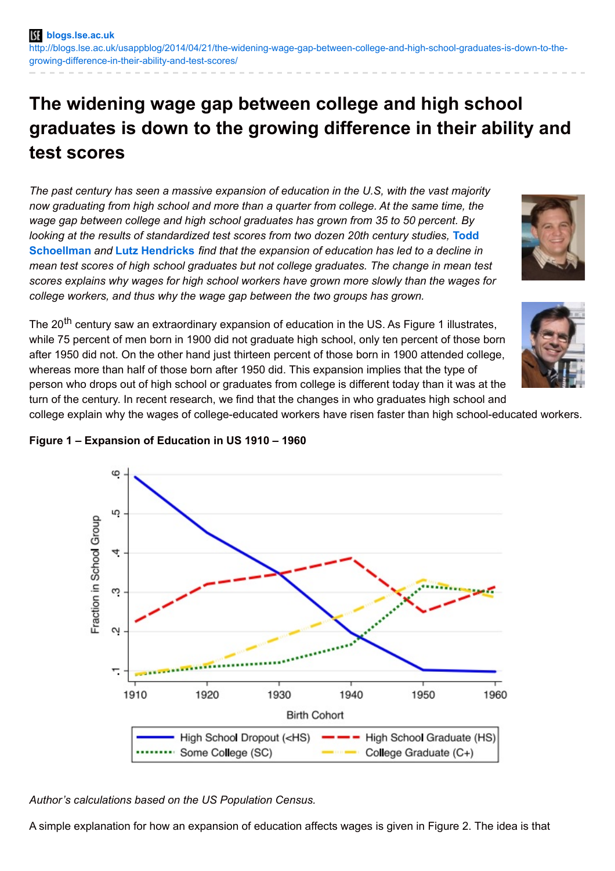# **The widening wage gap between college and high school graduates is down to the growing difference in their ability and test scores**

*The past century has seen a massive expansion of education in the U.S, with the vast majority now graduating from high school and more than a quarter from college. At the same time, the wage gap between college and high school graduates has grown from 35 to 50 percent. By looking at the results of [standardized](http://wp.me/p3I2YF-1Fn#Author) test scores from two dozen 20th century studies,* **Todd Schoellman** *and* **Lutz [Hendricks](http://wp.me/p3I2YF-1Fn#Author)** *find that the expansion of education has led to a decline in mean test scores of high school graduates but not college graduates. The change in mean test scores explains why wages for high school workers have grown more slowly than the wages for college workers, and thus why the wage gap between the two groups has grown.*



The 20<sup>th</sup> century saw an extraordinary expansion of education in the US. As Figure 1 illustrates, while 75 percent of men born in 1900 did not graduate high school, only ten percent of those born after 1950 did not. On the other hand just thirteen percent of those born in 1900 attended college, whereas more than half of those born after 1950 did. This expansion implies that the type of person who drops out of high school or graduates from college is different today than it was at the turn of the century. In recent research, we find that the changes in who graduates high school and

college explain why the wages of college-educated workers have risen faster than high school-educated workers.



### **Figure 1 – Expansion of Education in US 1910 – 1960**

*Author's calculations based on the US Population Census.*

A simple explanation for how an expansion of education affects wages is given in Figure 2. The idea is that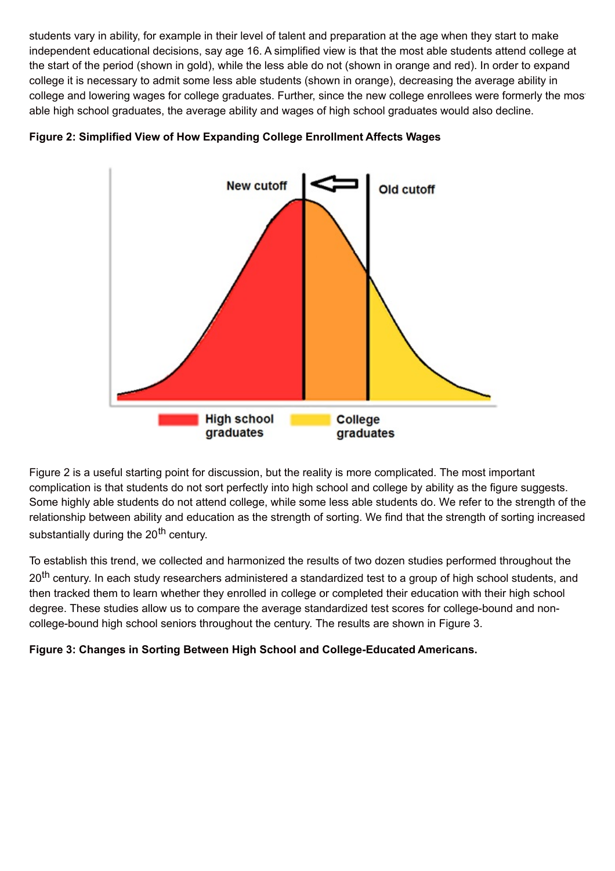students vary in ability, for example in their level of talent and preparation at the age when they start to make independent educational decisions, say age 16. A simplified view is that the most able students attend college at the start of the period (shown in gold), while the less able do not (shown in orange and red). In order to expand college it is necessary to admit some less able students (shown in orange), decreasing the average ability in college and lowering wages for college graduates. Further, since the new college enrollees were formerly the most able high school graduates, the average ability and wages of high school graduates would also decline.





Figure 2 is a useful starting point for discussion, but the reality is more complicated. The most important complication is that students do not sort perfectly into high school and college by ability as the figure suggests. Some highly able students do not attend college, while some less able students do. We refer to the strength of the relationship between ability and education as the strength of sorting. We find that the strength of sorting increased substantially during the 20<sup>th</sup> century.

To establish this trend, we collected and harmonized the results of two dozen studies performed throughout the 20<sup>th</sup> century. In each study researchers administered a standardized test to a group of high school students, and then tracked them to learn whether they enrolled in college or completed their education with their high school degree. These studies allow us to compare the average standardized test scores for college-bound and noncollege-bound high school seniors throughout the century. The results are shown in Figure 3.

**Figure 3: Changes in Sorting Between High School and College-Educated Americans.**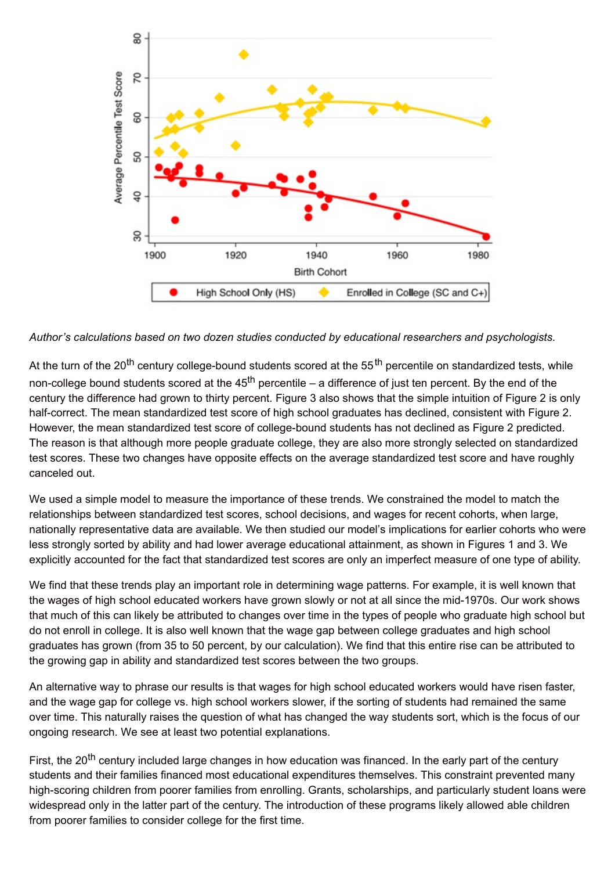

*Author's calculations based on two dozen studies conducted by educational researchers and psychologists.*

At the turn of the 20<sup>th</sup> century college-bound students scored at the 55<sup>th</sup> percentile on standardized tests, while non-college bound students scored at the 45<sup>th</sup> percentile – a difference of just ten percent. By the end of the century the difference had grown to thirty percent. Figure 3 also shows that the simple intuition of Figure 2 is only half-correct. The mean standardized test score of high school graduates has declined, consistent with Figure 2. However, the mean standardized test score of college-bound students has not declined as Figure 2 predicted. The reason is that although more people graduate college, they are also more strongly selected on standardized test scores. These two changes have opposite effects on the average standardized test score and have roughly canceled out.

We used a simple model to measure the importance of these trends. We constrained the model to match the relationships between standardized test scores, school decisions, and wages for recent cohorts, when large, nationally representative data are available. We then studied our model's implications for earlier cohorts who were less strongly sorted by ability and had lower average educational attainment, as shown in Figures 1 and 3. We explicitly accounted for the fact that standardized test scores are only an imperfect measure of one type of ability.

We find that these trends play an important role in determining wage patterns. For example, it is well known that the wages of high school educated workers have grown slowly or not at all since the mid-1970s. Our work shows that much of this can likely be attributed to changes over time in the types of people who graduate high school but do not enroll in college. It is also well known that the wage gap between college graduates and high school graduates has grown (from 35 to 50 percent, by our calculation). We find that this entire rise can be attributed to the growing gap in ability and standardized test scores between the two groups.

An alternative way to phrase our results is that wages for high school educated workers would have risen faster, and the wage gap for college vs. high school workers slower, if the sorting of students had remained the same over time. This naturally raises the question of what has changed the way students sort, which is the focus of our ongoing research. We see at least two potential explanations.

First, the 20<sup>th</sup> century included large changes in how education was financed. In the early part of the century students and their families financed most educational expenditures themselves. This constraint prevented many high-scoring children from poorer families from enrolling. Grants, scholarships, and particularly student loans were widespread only in the latter part of the century. The introduction of these programs likely allowed able children from poorer families to consider college for the first time.